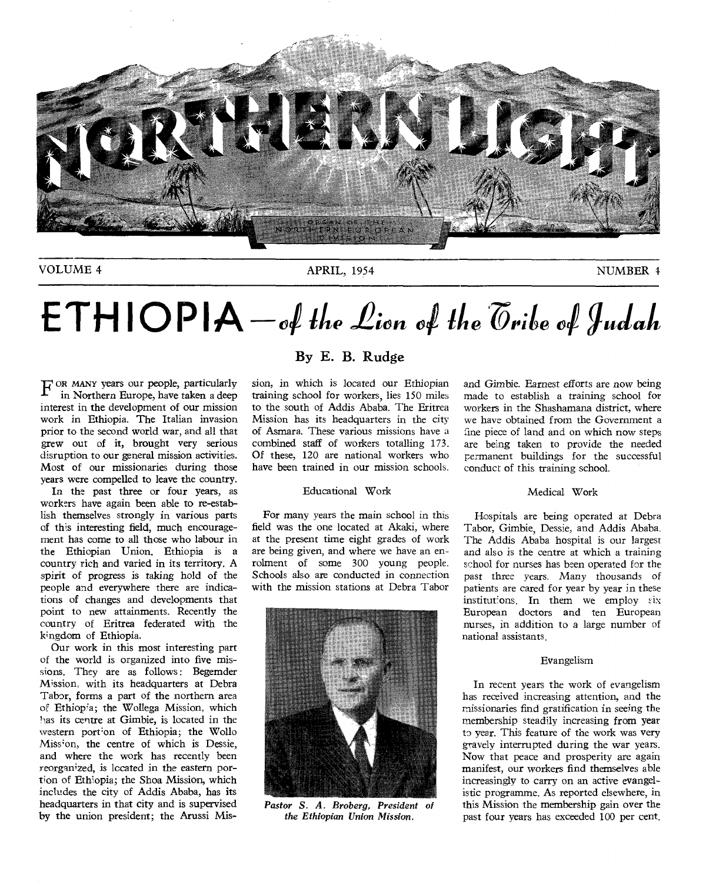

VOLUME 4 APRIL, 1954 APRIL, 1954

# $ETHIOPIA - of the *Lin* of the  $\phi$  of *Indah*$

F OR MANY years our people, particularly<br>in Northern Europe, have taken a deep in Northern Europe, have taken a deep interest in the development of our mission work in Ethiopia. The Italian invasion prior to the second world war, and all that grew out of it, brought very serious disruption to our general mission activities. Most of our missionaries during those years were compelled to leave the country.

In the past three or four years, as workers have again been able to re-establish themselves strongly in various parts of this interesting field, much encouragement has come to all those who labour in the Ethiopian Union. Ethiopia is a country rich and varied in its territory. A spirit of progress is taking hold of the people and everywhere there are indications of changes and developments that point to new attainments. Recently the country of Eritrea federated with the kingdom of Ethiopia.

Our work in this most interesting part of the world is organized into five missions. They are as follows: Begemder Mission, with its headquarters at Debra Tabor, forms a part of the northern area oF Ethiopia; the Wollega Mission, which has its centre at Gimbie, is located in the western portion of Ethiopia; the Wollo Mission, the centre of which is Dessie, and where the work has recently been reorganized, is located in the eastern portion of Ethiopia; the Shoa Mission, which includes the city of Addis Ababa, has its headquarters in that city and is supervised by the union president; the Arussi Mis-

#### **By E. B. Rudge**

sion, in which is located our Ethiopian training school for workers, lies 150 miles to the south of Addis Ababa. The Eritrea Mission has its headquarters in the city of Asmara. These various missions have a combined staff of workers totalling 173. Of these, 120 are national workers who have been trained in our mission schools.

#### Educational Work

For many years the main school in this field was the one located at Akaki, where at the present time eight grades of work are being given, and where we have an enrolment of some 300 young people. Schools also are conducted in connection with the mission stations at Debra Tabor



*Pastor S. A. Broberg, President of the Ethiopian Union Mission.* 

and Gimbie. Earnest efforts are now being made to establish a training school for workers in the Shashamana district, where we have obtained from the Government a fine piece of land and on which now steps are being taken to provide the needed permanent buildings for the successful conduct of this training school.

#### Medical Work

Hospitals are being operated at Debra Tabor, Gimbie, Dessie, and Addis Ababa. The Addis Ababa hospital is our largest and also is the centre at which a training school for nurses has been operated for the past three years. Many thousands of patients are cared for year by year in these institutions. In them we employ six European doctors and ten European nurses, in addition to a large number of national assistants.

#### Evangelism

In recent years the work of evangelism has received increasing attention, and the missionaries find gratification in seeing the membership steadily increasing from year to year. This feature of the work was very gravely interrupted during the war years. Now that peace and prosperity are again manifest, our workers find themselves able increasingly to carry on an active evangelistic programme. As reported elsewhere, in this Mission the membership gain over the past four years has exceeded 100 per cent.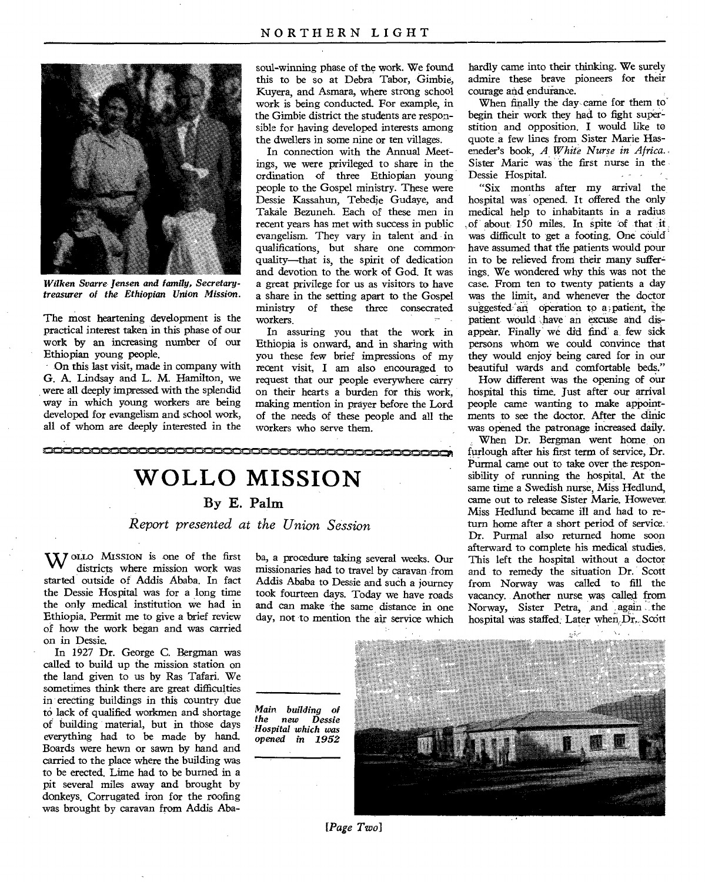

*Wilken Svarre Jensen and family, Secretarytreasurer of the Ethiopian Union Mission.* 

The most heartening development is the practical interest taken in this phase of our work by an increasing number of our Ethiopian young people.

On this last visit, made in company with G. A. Lindsay and L. M. Hamilton, we were all deeply impressed with the splendid way in which young workers are being developed for evangelism and school work, all of whom are deeply interested in the

soul-winning phase of the work. We found this to be so at Debra Tabor, Gimbie, Kuyera, and Asmara, where strong school work is being conducted. For example, in the Gimbie district the students are responsible for having developed interests among the dwellers in some nine or ten villages.

In connection with the Annual Meetings, we were privileged to share in the ordination of three Ethiopian young people to the Gospel ministry. These were Dessie Kassahun, Tebedje Gudaye, and Takale Bezuneh. Each of these men in recent years has met with success in public evangelism. They vary in talent and in qualifications, but share one commonquality—that is, the spirit of dedication and devotion to the work of God. It was a great privilege for us as visitors to have a share in the setting apart to the Gospel ministry of these three consecrated workers.

In assuring you that the work in Ethiopia is onward, and in sharing with you these few brief impressions of my recent visit, I am also encouraged to request that our people everywhere carry on their hearts a burden for this work, making mention in prayer before the Lord of the needs of these people and all the workers who serve them.



**By E. Palm** 

*Report presented at the Union Session* 

**X***I* ollo Mission is one of the first districts where mission work was started outside of Addis Ababa. In fact the Dessie Hospital was for a long time the only medical institution we had in Ethiopia. Permit me to give a brief review of how the work began and was carried on in Dessie.

In 1927 Dr. George C. Bergman was called to build up the mission station on the land given to us by Ras Tafari. We sometimes think there are great difficulties in erecting buildings in this country due to lack of qualified workmen and shortage of building material, but in those days everything had to be made by hand. Boards were hewn or sawn by hand and carried to the place where the building was to be erected. Lime had to be burned in a pit several miles away and brought by donkeys. Corrugated iron for the roofing was brought by caravan from Addis Aba-

ba, a procedure taking several weeks. Our missionaries had to travel by caravan •from Addis Ababa to Dessie and such a journey took fourteen days. Today we have roads and can make the same distance in one day, not to mention the air service which

hospital was staffed. Later when Dr. Scott

hardly came into their thinking. We surely admire these brave pioneers for their courage and endurance.

When finally the day came for them to begin their work they had to fight superstition and opposition. I would like to quote a few lines from Sister Marie Haseneder's book, *A White Nurse in Africa.*  Sister Marie was the first nurse in the Dessie Hospital.

"Six months after my arrival the hospital was opened. It offered the only medical help to inhabitants in a radius of about 150 miles. In spite of that it was difficult to get a footing. One could have assumed that the patients would pour in to be relieved from their many suffer= ings. We wondered why this was not the case. From ten to twenty patients a day was the limit, and whenever the doctor suggested an operation to a patient, the patient would .have an excuse and disappear. Finally' we did find' a. few sick persons whom we could convince that they would enjoy being cared for in our beautiful wards and comfortable beds."

How different was the opening of our hospital this time. Just after our arrival people came wanting to make appointments to see the doctor. After the clinic was opened the patronage increased daily.

When Dr. Bergman went home on furlough after his first term of service, Dr. Purmal came out to take over the responsibility of running the hospital. At the same time a Swedish nurse, Miss Hedlund, came out to release Sister Marie. However, Miss Hedlund became ill and had to return home after a short period of service. Dr. Purmal also returned home soon afterward to complete his medical studies, This left the hospital without a doctor and to remedy the situation Dr. Scott from Norway was called to fill the vacancy. Another nurse was called from Norway, Sister Petra, and again the

*[Page Two]* 

*Main building of the new Hospital which was opened in 1952*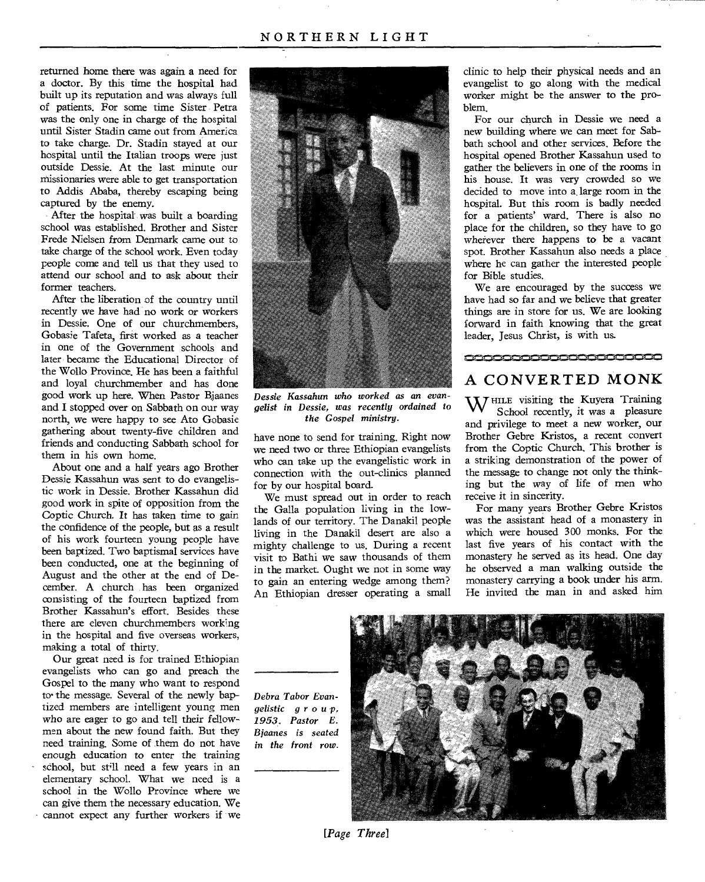returned home there was again a need for a doctor. By this time the hospital had built up its reputation and was always full of patients. For some time Sister Petra was the only one in charge of the hospital until Sister Stadin came out from America to take charge. Dr. Stadin stayed at our hospital until the Italian troops were just outside Dessie. At the last minute our missionaries were able to get transportation to Addis Ababa, thereby escaping being captured by the enemy.

After the hospital was built a boarding school was established. Brother and Sister Frede Nielsen from Denmark *came* out to take charge of the school work. Even today people come and tell us that they used to attend our school and to ask about their former teachers.

After the liberation of the country until recently we have had no work or workers in Dessie. One of our churchmembers, Gobasie Tafeta, first worked as a teacher in one of the Government schools and later became the Educational Director of the Wollo Province. He has been a faithful and loyal churchmember and has done good work up here. When Pastor Bjaanes and I stopped over on Sabbath on our way north, we were happy to see Ato Gobasie gathering about twenty-five children and friends and conducting Sabbath school for them in his own home.

About one and a half years ago Brother Dessie Kassahun was sent to do evangelistic work in Dessie. Brother Kassahun did good work in spite of opposition from the Coptic Church. It has taken time to gain the confidence of the people, but as a result of his work fourteen young people have been baptized. Two baptismal services have been conducted, one at the beginning of August and the other at the end of December. A church has been organized consisting of the fourteen baptized from Brother Kassahun's effort. Besides these there are eleven churchmembers working in the hospital and five overseas workers, making a total of thirty.

Our great need is for trained Ethiopian evangelists who can go and preach the Gospel to the many who want to respond to• the message. Several of the newly baptized members are intelligent young men who are eager to go and tell their fellowmen about the new found faith. But they need training. Some of them do not have enough education to enter the training school, but still need a few years in an elementary school. What we need is a school in the Wollo Province where we can give them the necessary education. We • cannot expect any further workers if we



*Dessie Kassahun who worked as an evangelist in Dessie, was recently ordained to the Gospel ministry.* 

have none to send for training. Right now we need two or three Ethiopian evangelists who can take up the evangelistic work in connection with the out-clinics planned for by our hospital board.

We must spread out in order to reach the Galla population living in the lowlands of our territory. The Danakil people living in the Danakil desert are also a mighty challenge to us. During a recent visit to Bathi we saw thousands of them in the market. Ought we not in some way to gain an entering wedge among them? An Ethiopian dresser operating a small clinic to help their physical needs and an evangelist to go along with the medical worker might be the answer to the problem.

For our church in Dessie we need a new building where we can meet for Sabbath school and other services. Before the hospital opened Brother Kassahun used to gather the believers in one of the rooms in his house. It was very crowded so we decided to move into a, large room in the hospital. But this room is badly needed for a patients' ward. There is also no place for the children, so they have to go *wherever* there happens to be a vacant spot. Brother Kassahun also needs a place where he can gather the interested people for Bible studies.

We are encouraged by the success we have had so far and we believe that greater things are in store for us. We are looking forward in faith knowing that the great leader, Jesus Christ, is with us.

### **,m,,a•misvoismiNmi,mismigNmi:Mee,miNonii.ffiek,miNme.••••••.1114mr,misme**  A CONVERTED MONK

WHILE visiting the Kuyera Training School recently, it was a pleasure and privilege to meet a new worker, our Brother Gebre Kristos, a recent convert from the Coptic Church. This brother is a striking demonstration of the power of the message to change not only the thinking but the way of life of men who receive it in sincerity.

For many years Brother Gebre Kristos was the assistant head of a monastery in which were housed 300 monks. For the last five years of his contact with the monastery he served as its head. One day he observed a man walking outside the monastery carrying a book under his arm. He invited the man in and asked him

*Debra Tabor Evangelistic* g r o u p, *1953. Pastor E. Bjaanes is seated in the front row.* 



*[Page Three]*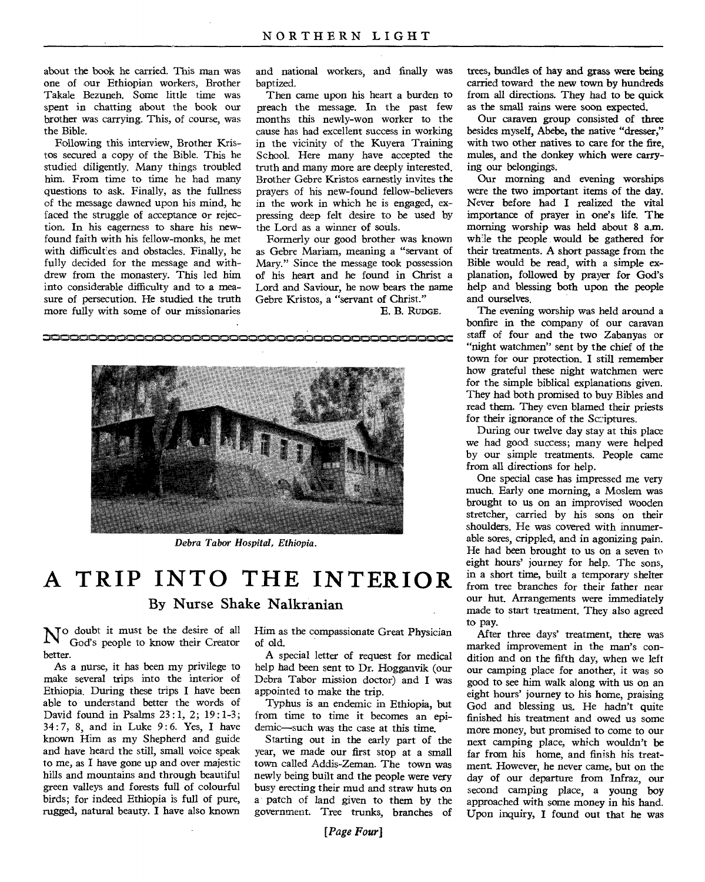about the book he carried. This man was one of our Ethiopian workers, Brother Takale Bezuneh. Some little time was spent in chatting about the book our brother was carrying. This, of course, was the Bible.

Following this interview, Brother Kristos secured a copy of the Bible. This he studied diligently. Many things troubled him. From time to time he had many questions to ask. Finally, as the fullness of the message dawned upon his mind, he faced the struggle of acceptance or rejection. In his eagerness to share his newfound faith with his fellow-monks, he met with difficulties and obstacles. Finally, he fully decided for the message and withdrew from the monastery. This led him into considerable difficulty and to a measure of persecution. He studied the truth more fully with some of our missionaries

and national workers, and finally was baptized.

Then came upon his heart a burden to preach the message. In the past few months this newly-won worker to the cause has had excellent success in working in the vicinity of the Kuyera Training School. Here many have accepted the truth and many more are deeply interested. Brother Gebre Kristos earnestly invites the prayers of his new-found fellow-believers in the work in which he is engaged, expressing deep felt desire to be used by the Lord as a winner of souls.

Formerly our good brother was known as Gebre Mariam, meaning a "servant of Mary." Since the message took possession of his heart and he found in Christ a Lord and Saviour, he now bears the name Gebre Kristos, a "servant of Christ."

E. B. RUDGE.



*Debra Tabor Hospital, Ethiopia.* 

# **A TRIP INTO THE INTERIOR**  By Nurse Shake Nalkranian

N<sup>o</sup> doubt it must be the desire of all<br>God's people to know their Creator God's people to know their Creator better.

As a nurse, it has been my privilege to make several trips into the interior of Ethiopia. During these trips I have been able to understand better the words of David found in Psalms 23 :1, 2; 19:1-3; 34: 7, 8, and in Luke 9: 6. Yes, I have known Him as my Shepherd and guide and have heard the still, small voice speak to me, as I have gone up and over majestic hills and mountains and through beautiful green valleys and forests full of colourful birds; for indeed Ethiopia is full of pure, rugged, natural beauty. I have also known Him as the compassionate Great Physician of old.

A special letter of request for medical help had been sent to Dr. Hogganvik (our Debra Tabor mission doctor) and I was appointed to make the trip.

Typhus is an endemic in Ethiopia, but from time to time it becomes *an* epidemic—such was the case at this time.

Starting out in the early part of the year, we made our first stop at a small town called Addis-Zeman. The town was newly being built and the people were very busy erecting their mud and straw huts on a patch of land given to them by the government. Tree trunks, branches of trees, bundles of hay and grass were being carried toward the new town by hundreds from all directions. They had to be quick as the small rains were soon expected.

Our caraven group consisted of three besides myself, Abebe, the native "dresser," with two other natives to care for the fire, mules, and the donkey which were carrying our belongings.

Our morning and evening worships were the two important items of the day. Never before had I realized the vital importance of prayer in one's life. The morning worship was held about 8 a.m. whle the people would be gathered for their treatments. A short passage from the Bible would be read, with a simple explanation, followed by prayer for God's help and blessing both upon the people and ourselves.

The evening worship was held around a bonfire in the company of our caravan staff of four and the two Zabanyas or "night watchmen" sent by the chief of the town for our protection. I still remember how grateful these night watchmen were for the simple biblical explanations given. They had both promised to buy Bibles and read them. They even blamed their priests for their ignorance of the Sc:iptures.

During our twelve day stay at this place we had good success; many were helped by our simple treatments. People came from all directions for help.

One special case has impressed me very much. Early one morning, a Moslem was brought to us on an improvised wooden stretcher, carried by his sons on their shoulders. He was covered with innumerable sores, crippled, and in agonizing pain. He had been brought to us on a seven to eight hours' journey for help. The sons, in a short time, built a temporary shelter from tree branches for their father near our hut. Arrangements were immediately made to start treatment. They also agreed to pay.

After three days' treatment, there was marked improvement in the man's condition and on the fifth day, when we left our camping place for another, it was so good to see him walk along with us on an eight hours' journey to his home, praising God and blessing us. He hadn't quite finished his treatment and owed us some more money, but promised to come to our next camping place, which wouldn't be far from his home, and finish his treatment. However, he never came, but on the day of our departure from Infraz, our second camping place, a young boy approached with some money in his hand. Upon inquiry, I found out that he was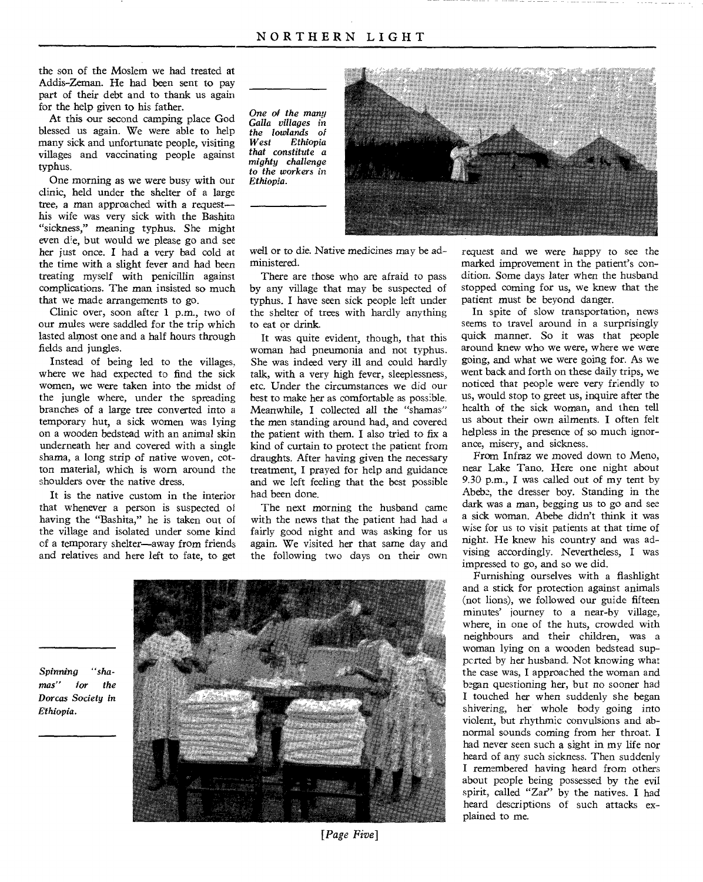the son of the Moslem we had treated at Addis-Zeman. He had been sent to pay part of their debt and to thank us again for the help given to his father.

At this our second camping place God blessed us again. We were able to help many sick and unfortunate people, visiting villages and vaccinating people against typhus.

One morning as we were busy with our clinic, held under the shelter of a large tree, a man approached with a request his wife was very sick with the Bashita "sickness," *meaning* typhus. She might even die, but would we please go and see her just once. I had a very bad cold at the time with a slight fever and had been treating myself with penicillin against complications. The man insisted so much that we made arrangements to go.

Clinic over, soon after 1 p.m., two of our mules were saddled for the trip which lasted almost one and a half hours through fields and jungles.

Instead of being led to the villages, where we had expected to find the sick women, we were taken into the midst of the jungle where, under the spreading branches of a large tree converted into a temporary hut, a sick women was lying on a wooden bedstead with an animal skin underneath her and covered with a single shama, a long strip of native woven, cotton material, which is worn around the shoulders over the native dress.

It is the native custom in the interior that whenever a person is suspected of having the "Bashita," he is taken out of the village and isolated under some kind of a temporary shelter—away from friends and relatives and here left to fate, to get *One of the many Galla villages* in *the lowlands of*   $Ethionia$ *that constitute a mighty challenge to the workers in Ethiopia.* 



*well* or to die. Native medicines may be administered.

There are those who are afraid to pass by any village that may be suspected of typhus. I have seen sick people left under the shelter of trees with hardly anything to eat or drink.

It was quite evident, though, that this woman had pneumonia and not typhus. She was indeed very ill and could hardly talk, with a very high fever, sleeplessness, etc. Under the circumstances we did our best to make her as comfortable as possible. Meanwhile, I collected all the "shamas" the men standing around had, and covered the patient with them. I also tried to fix a kind of curtain to protect the patient from draughts. After having given the necessary treatment, I prayed for help and guidance and we left feeling that the best possible had been done.

The next morning the husband came with the news that the patient had had a fairly good night and was asking for us again. We visited her that same day and the following two days on their own

Spinning *"shamas" for the Dorcas Society in Ethiopia.* 

[Page Five]

request and we were happy to see the marked improvement in the patient's condition. Some days later when the husband stopped coming for us, we knew that the patient must be beyond danger.

In spite of slow transportation, news seems to travel around in a surprisingly quick manner. So it was that people around knew who we were, where we were going, and what we were going for. As we went back and forth on these daily trips, we noticed that people were very friendly to us, would stop to greet us, inquire after the health of the sick woman, and then tell us about their own ailments. I often felt helpless in the presence of so much ignorance, misery, and sickness.

From Infraz we moved down to Meno, near Lake Tana. Here one night about 9.30 p.m., I was called out of my tent by Abebe, the dresser boy. Standing in the dark was a man, begging us to go and see a sick woman. Abebe didn't think it was wise for us to visit patients at that time of night. He knew his country and was advising accordingly. Nevertheless, I was impressed to go, and so we did.

Furnishing ourselves with a flashlight and a stick for protection against animals (not lions), we followed our guide fifteen minutes' journey to a near-by village, where, in one of the huts, crowded with neighbours and their children, was a woman lying on a wooden bedstead supperted by her husband. Not knowing what the case was, I approached the woman and began questioning her, but no sooner had I touched her when suddenly she began shivering, her whole body going into violent, but rhythmic convulsions and abnormal sounds coming from her throat. I had never seen such a sight in my life nor heard of any such sickness. Then suddenly I remembered having heard from others about people being possessed by the evil spirit, called "Zar" by the natives. I had heard descriptions of such attacks explained to me.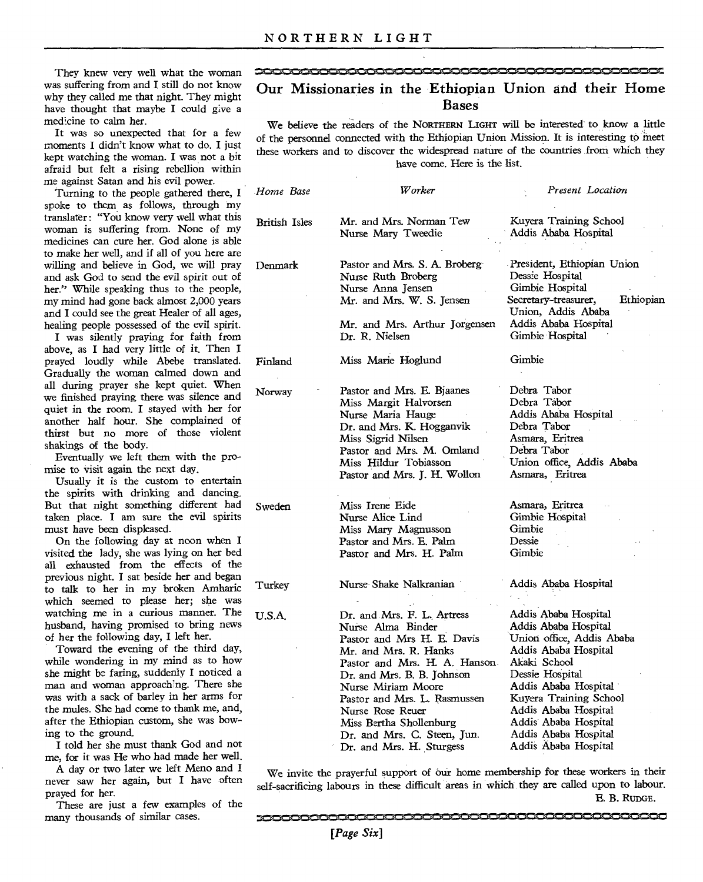They knew very well what the woman was suffering from and I still do not know why they called me that night. They might have thought that maybe I could give a medicine to calm her.

It was so unexpected that for a few moments I didn't know what to do. I just kept watching the woman. I was not a bit afraid but felt a rising rebellion within me against Satan and his evil power.

Turning to the people gathered there, I spoke to them as follows, through my translater: "You know very well what this woman is suffering from. None of my medicines can cure her. God alone is able to make her well, and if all of you here are willing and believe in God, we will pray and ask God to send the evil spirit out of her." While speaking thus to the people, my mind had gone back almost 2,000 years and I could see the great Healer of all ages, healing people possessed of the evil spirit.

I was silently praying for faith from above, as I had very little of it. Then I prayed loudly while Abebe translated. Gradually the woman calmed down and all during prayer she kept quiet. When we finished praying there was silence and quiet in the room. I stayed with her for another half hour. She complained of thirst but no more of those violent shakings of the body.

Eventually we left them with the promise to visit again the next day.

Usually it is the custom to entertain the spirits with drinking and dancing. But that night something different had taken place. I am sure the evil spirits must have been displeased.

On the following day at noon when I visited the lady, she was lying on her bed all exhausted from the effects of the previous night. I sat beside her and began to talk to her in my broken Amharic which seemed to please her; she was watching me in a curious manner. The husband, having promised to bring news of her the following day, I left her.

Toward the evening of the third day, while wondering in my mind as to how she might be faring, suddenly I noticed a man and woman approaching. There she was with a sack of barley in her arms for the mules. She had come to thank me, and, after the Ethiopian custom, she was bowing to the ground.

I told her she must thank God and not me, for it was He who had made her well.

A day or two later we left Meno and I never saw her again, but I have often prayed for her.

These are just a few examples of the many thousands of similar cases.

# Our Missionaries in the Ethiopian Union and their Home Bases

**',..e.,...0.0..,,..k.e,...zue.,..0...mik.womkunts.nikiwomionikfikm,kakliiikmk.i`onkmitnalviComikow`o•a`,.10•00•1•1wemilmis,akaikoakm11=1"** 

We believe the readers of the NORTHERN LIGHT will be interested to know a little of the personnel connected with the Ethiopian Union Mission. It is interesting to meet these workers and to discover the widespread nature of the countries from which they have come. Here is the list.

| Home Base                                                                                                                                                                    | Worker                                                                                                                                                                                                                                                                                                                                | Present Location                                                                                                                                                                                                                                                                       |  |
|------------------------------------------------------------------------------------------------------------------------------------------------------------------------------|---------------------------------------------------------------------------------------------------------------------------------------------------------------------------------------------------------------------------------------------------------------------------------------------------------------------------------------|----------------------------------------------------------------------------------------------------------------------------------------------------------------------------------------------------------------------------------------------------------------------------------------|--|
| <b>British Isles</b>                                                                                                                                                         | Mr. and Mrs. Norman Tew<br>Nurse Mary Tweedie                                                                                                                                                                                                                                                                                         | Kuyera Training School<br>Addis Ababa Hospital                                                                                                                                                                                                                                         |  |
| Denmark                                                                                                                                                                      | Pastor and Mrs. S. A. Broberg<br>Nurse Ruth Broberg<br>Nurse Anna Jensen<br>Mr. and Mrs. W. S. Jensen<br>Mr. and Mrs. Arthur Jorgensen<br>Dr. R. Nielsen                                                                                                                                                                              | President, Ethiopian Union<br>Dessie Hospital<br>Gimbie Hospital<br>Secretary-treasurer,<br>Ethiopian<br>Union, Addis Ababa<br>Addis Ababa Hospital<br>Gimbie Hospital                                                                                                                 |  |
| Finland                                                                                                                                                                      | Miss Marie Hoglund                                                                                                                                                                                                                                                                                                                    | Gimbie                                                                                                                                                                                                                                                                                 |  |
| Norway                                                                                                                                                                       | Pastor and Mrs. E. Bjaanes<br>Miss Margit Halvorsen<br>Nurse Maria Hauge<br>Dr. and Mrs. K. Hogganvik<br>Miss Sigrid Nilsen<br>Pastor and Mrs. M. Omland<br>Miss Hildur Tobiasson<br>Pastor and Mrs. J. H. Wollon                                                                                                                     | Debra Tabor<br>Debra Tabor<br>Addis Ababa Hospital<br>Debra Tabor<br>Asmara, Eritrea<br>Debra Tabor<br>Union office, Addis Ababa<br>Asmara, Eritrea                                                                                                                                    |  |
| Sweden                                                                                                                                                                       | Miss Irene Eide<br>Nurse Alice Lind<br>Miss Mary Magnusson<br>Pastor and Mrs. E. Palm<br>Pastor and Mrs. H. Palm                                                                                                                                                                                                                      | Asmara, Eritrea<br>Gimbie Hospital<br>Gimbie<br>Dessie<br>Gimbie                                                                                                                                                                                                                       |  |
| Turkey                                                                                                                                                                       | Nurse Shake Nalkranian                                                                                                                                                                                                                                                                                                                | Addis Ababa Hospital                                                                                                                                                                                                                                                                   |  |
| U.S.A.                                                                                                                                                                       | Dr. and Mrs. F. L. Artress<br>Nurse Alma Binder<br>Pastor and Mrs H. E. Davis<br>Mr. and Mrs. R. Hanks<br>Pastor and Mrs. H. A. Hanson.<br>Dr. and Mrs. B. B. Johnson<br>Nurse Miriam Moore<br>Pastor and Mrs. L. Rasmussen<br>Nurse Rose Reuer<br>Miss Bertha Shollenburg<br>Dr. and Mrs. C. Steen, Jun.<br>Dr. and Mrs. H. Sturgess | Addis Ababa Hospital<br>Addis Ababa Hospital<br>Union office, Addis Ababa<br>Addis Ababa Hospital<br>Akaki School<br>Dessie Hospital<br>Addis Ababa Hospital<br>Kuyera Training School<br>Addis Ababa Hospital<br>Addis Ababa Hospital<br>Addis Ababa Hospital<br>Addis Ababa Hospital |  |
| We invite the prayerful support of our home membership for these workers in their<br>of coorificing labours in these difficult eress in which they are called upon to labour |                                                                                                                                                                                                                                                                                                                                       |                                                                                                                                                                                                                                                                                        |  |

self-sacrificing labours in these difficult areas in which they are called upon to labour. E. B. RUDGE.

**,•••••=,mi,••••••••1,=,•1,1mimmimi,NO ,1116,1M,M,11.,M,••••••,101**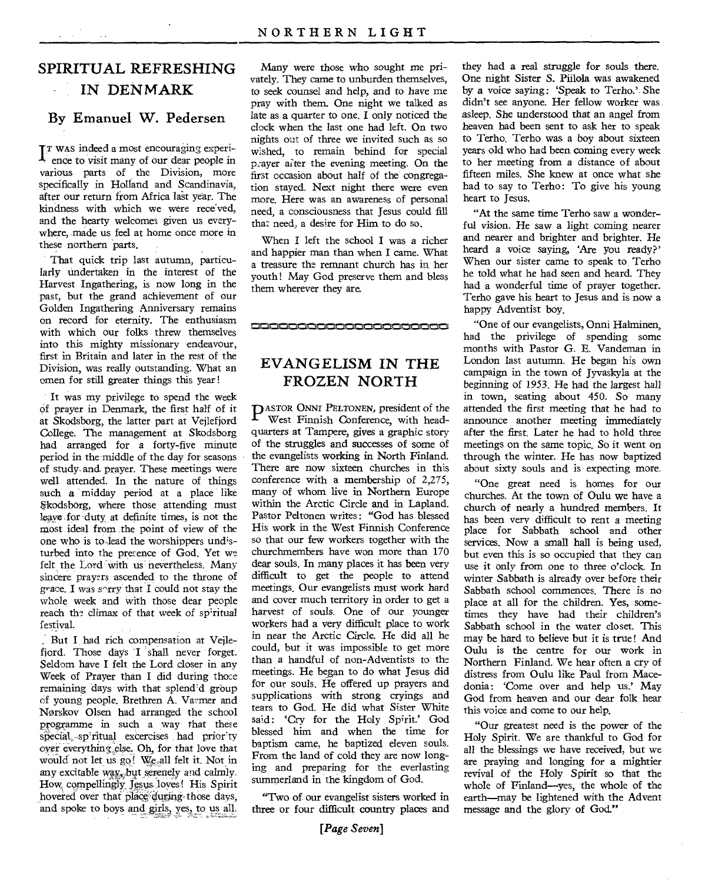#### **SPIRITUAL REFRESHING IN DENMARK**

#### **By Emanuel W. Pedersen**

 $I<sup>T</sup>$  was indeed a most encouraging experi-<br>ence to visit many of our dear people in ence to visit many of our dear people in various parts of the Division, more specifically in Holland and Scandinavia, after our return from Africa last year. The kindness with which we were received, and the hearty welcomes given us everywhere, made us feel at home once more in these northern parts.

That quick trip last autumn, particularly undertaken in the interest of the Harvest Ingathering, is now long in the past, but the grand achievement of our Golden Ingathering Anniversary remains on record for eternity. The enthusiasm with which our folks threw themselves into this mighty missionary endeavour, first in Britain and later in the rest of the Division, was really outstanding. What an omen for still greater things this year !

It was my privilege to spend the week Of prayer in Denmark, the first half of it at Skodsborg, the latter part at Vejlefjord College. The management at Skodsborg had arranged for a forty-five minute period in the-middle of the day for seasons of study-and. prayer. These meetings were well attended. In the nature of things such a midday period at a place like Skodsborg, where those attending must leave for duty at definite times, is not the most ideal from the point of view of the one who is to lead the worshippers undisturbed into the presence of God. Yet we felt the Lord with us nevertheless. Many sincere prayers ascended to the throne of grace. I was s $\gamma$ rry that I could not stay the whole week and with those dear people reach the climax of that week of spiritual festival.

But I had rich compensation at Vejlefiord. Those days 1 shall never forget. Seldom have I felt the Lord closer in any Week of Prayer than I did during those remaining days with that splendid group of young people. Brethren A. Varmer and Norskov Olsen had arranged the school programme in such a way that these special spiritual excercises had priority over everything else. Oh, for that love that would not let us go! We, all felt it. Not in any excitable way, but serenely and calmly. How compellingly Jesus loves! His Spirit hovered over that place during those days, and spoke to boys and girls, yes, to us all.

Many were those who sought me privately. They came to unburden themselves, to seek counsel and help, and to have me pray with them. One night we talked as late as a quarter to one. I only noticed the clock when the last one had left. On two nights out of three we invited such as so wished, to remain behind for special prayer after the evening meeting. On the first occasion about half of the congregation stayed. Next night there were even more. Here was an awareness of personal need, a consciousness that Jesus could fill that need, a desire for Him to do so.

When I left the school I was a richer and happier man than when I came. What a treasure the remnant church has in her youth! May God preserve them and bless them wherever they are.

**EVANGELISM IN THE FROZEN NORTH** 

0000000000000000000

**P** ASTOR ONNI PELTONEN, president of the West Finnish Conference, with head-West Finnish Conference, with headquarters at Tampere, gives a graphic story of the struggles and successes of some of the evangelists working in North Finland. There are now sixteen churches in this conference with a membership of 2,275, many of whom live in Northern Europe within the Arctic Circle and in Lapland. Pastor Peltonen writes: "God has blessed His work in the West Finnish Conference so that our few workers together with the churchmembers have won more than 170 dear souls. In many places it has been very difficult to get the people to attend meetings. Our evangelists must work hard and cover much territory in order to get a harvest of souls. One of our younger workers had a very difficult place to, work in near the Arctic Circle. He did all he could, but it was impossible to get more than a handful of non-Adventists to the meetings. He began to do what Jesus did for our souls. He offered up prayers and supplications with strong cryings and tears to God. He did what Sister White said: 'Cry for the Holy Spirit.' God blessed him and when the time for baptism came, he baptized eleven souls. From the land of cold they are now longing and preparing for the everlasting summerland in the kingdom of God.

"Two of our evangelist sisters worked in three or four difficult country places and

*[Page Seven]* 

they had a real struggle for souls there. One night Sister S. Piilola was awakened by a voice saying: 'Speak to Terho.'. She didn't see anyone. Her fellow worker was asleep. She understood that an angel from heaven had been sent to ask her to speak to Terho. Terho was a boy about sixteen years old who had been coming every week to her meeting from a distance of about fifteen miles. She knew at once what she had to say to Terho: To give his young heart to Jesus.

"At the same time Terho saw a wonderful vision. He saw a light coming nearer and nearer and brighter and brighter. He heard a voice saying, 'Are you ready?' When our sister came to speak to. Terho he told what he had seen and heard. They had a wonderful time of prayer together. Terho gave his heart to Jesus and is now a happy Adventist boy.

"One of our evangelists, Onni Halminen, had the privilege of spending some months with Pastor G. E. Vandeman in London last autumn. He began his own campaign in the town of Jyvaskyla at the beginning of 1953. He had the largest hall in town, seating about 450. So many attended the first meeting that he had to announce another meeting immediately after the first. Later he had to hold three meetings on the same topic. So it went on through the winter. He has now baptized about sixty souls and is expecting more.

"One great need is homes for our churches. At the town of Oulu we have a church of nearly a hundred members. It has been very difficult to rent a meeting place for Sabbath school and other services. Now a small hall is being used, but even this is so occupied that they can use it only from one to three o'clock. In winter Sabbath is already over before their Sabbath school commences. There is no place at all for the children. Yes, sometimes they have had their children's Sabbath school in the water closet. This may be hard to believe but it is true! And Oulu is the centre for our work in Northern Finland. We hear often a cry of distress from Oulu like Paul from Macedonia: 'Come over and help us.' May God from heaven and our dear folk hear this voice and come to our help.

"Our greatest need is the power of the Holy Spirit. We are thankful to God for all the blessings we have *received,* but we are praying and longing for a mightier revival of the Holy Spirit so that the whole of Finland—yes, the whole of the earth—may be lightened with the Advent message and the glory of God."